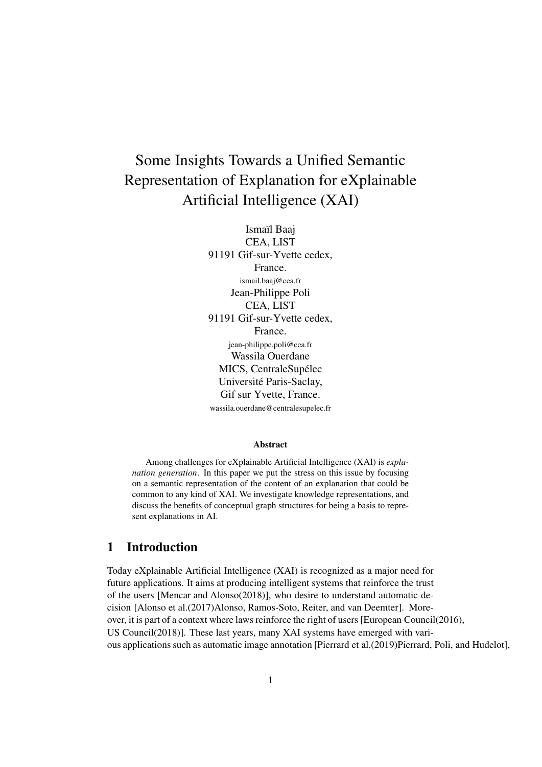# Some Insights Towards a Unified Semantic Representation of Explanation for eXplainable Artificial Intelligence (XAI)

Ismaïl Baaj CEA, LIST 91191 Gif-sur-Yvette cedex, France. ismail.baaj@cea.fr Jean-Philippe Poli CEA, LIST 91191 Gif-sur-Yvette cedex, France. jean-philippe.poli@cea.fr Wassila Ouerdane MICS, CentraleSupélec Université Paris-Saclay, Gif sur Yvette, France. wassila.ouerdane@centralesupelec.fr

#### Abstract

Among challenges for eXplainable Artificial Intelligence (XAI) is *explanation generation*. In this paper we put the stress on this issue by focusing on a semantic representation of the content of an explanation that could be common to any kind of XAI. We investigate knowledge representations, and discuss the benefits of conceptual graph structures for being a basis to represent explanations in AI.

#### 1 Introduction

Today eXplainable Artificial Intelligence (XAI) is recognized as a major need for future applications. It aims at producing intelligent systems that reinforce the trust of the users [Mencar and Alonso(2018)], who desire to understand automatic decision [Alonso et al.(2017)Alonso, Ramos-Soto, Reiter, and van Deemter]. Moreover, it is part of a context where laws reinforce the right of users [European Council(2016), US Council(2018)]. These last years, many XAI systems have emerged with various applications such as automatic image annotation [Pierrard et al.(2019)Pierrard, Poli, and Hudelot],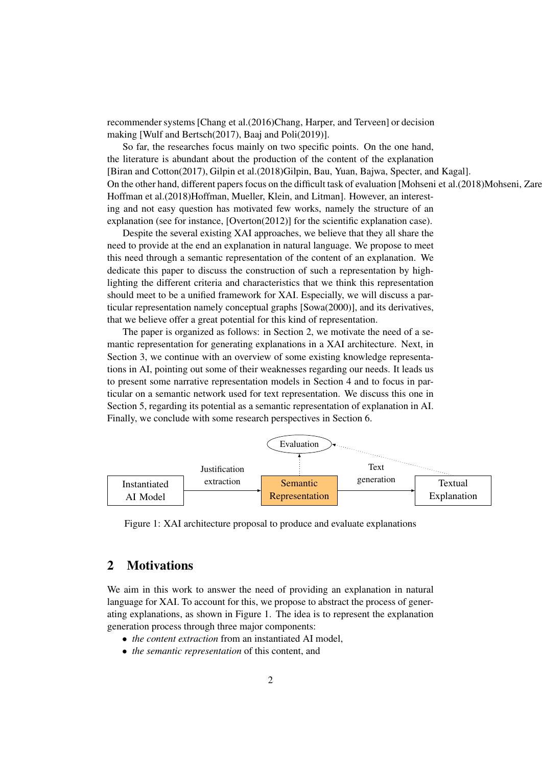recommender systems [Chang et al.(2016)Chang, Harper, and Terveen] or decision making [Wulf and Bertsch(2017), Baaj and Poli(2019)].

So far, the researches focus mainly on two specific points. On the one hand, the literature is abundant about the production of the content of the explanation [Biran and Cotton(2017), Gilpin et al.(2018)Gilpin, Bau, Yuan, Bajwa, Specter, and Kagal]. On the other hand, different papers focus on the difficult task of evaluation [Mohseni et al.(2018)Mohseni, Zare Hoffman et al.(2018)Hoffman, Mueller, Klein, and Litman]. However, an interesting and not easy question has motivated few works, namely the structure of an explanation (see for instance, [Overton(2012)] for the scientific explanation case).

Despite the several existing XAI approaches, we believe that they all share the need to provide at the end an explanation in natural language. We propose to meet this need through a semantic representation of the content of an explanation. We dedicate this paper to discuss the construction of such a representation by highlighting the different criteria and characteristics that we think this representation should meet to be a unified framework for XAI. Especially, we will discuss a particular representation namely conceptual graphs [Sowa(2000)], and its derivatives, that we believe offer a great potential for this kind of representation.

The paper is organized as follows: in Section 2, we motivate the need of a semantic representation for generating explanations in a XAI architecture. Next, in Section 3, we continue with an overview of some existing knowledge representations in AI, pointing out some of their weaknesses regarding our needs. It leads us to present some narrative representation models in Section 4 and to focus in particular on a semantic network used for text representation. We discuss this one in Section 5, regarding its potential as a semantic representation of explanation in AI. Finally, we conclude with some research perspectives in Section 6.



Figure 1: XAI architecture proposal to produce and evaluate explanations

### 2 Motivations

We aim in this work to answer the need of providing an explanation in natural language for XAI. To account for this, we propose to abstract the process of generating explanations, as shown in Figure 1. The idea is to represent the explanation generation process through three major components:

- *the content extraction* from an instantiated AI model,
- *the semantic representation* of this content, and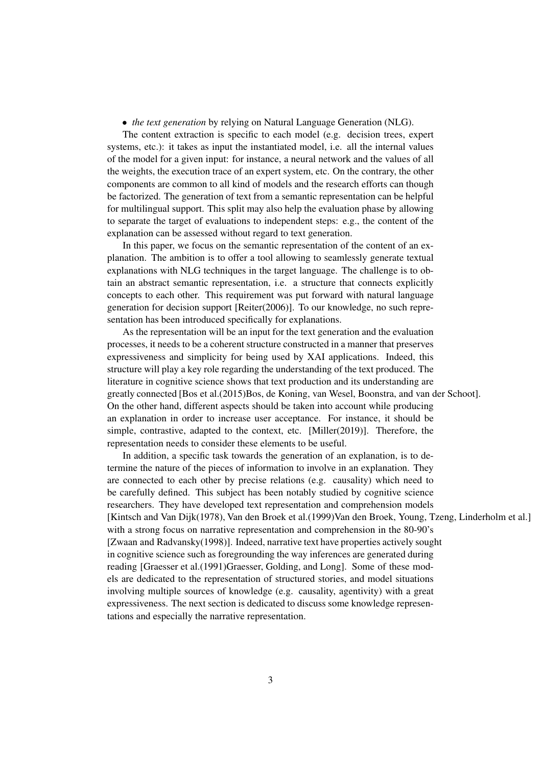• *the text generation* by relying on Natural Language Generation (NLG).

The content extraction is specific to each model (e.g. decision trees, expert systems, etc.): it takes as input the instantiated model, i.e. all the internal values of the model for a given input: for instance, a neural network and the values of all the weights, the execution trace of an expert system, etc. On the contrary, the other components are common to all kind of models and the research efforts can though be factorized. The generation of text from a semantic representation can be helpful for multilingual support. This split may also help the evaluation phase by allowing to separate the target of evaluations to independent steps: e.g., the content of the explanation can be assessed without regard to text generation.

In this paper, we focus on the semantic representation of the content of an explanation. The ambition is to offer a tool allowing to seamlessly generate textual explanations with NLG techniques in the target language. The challenge is to obtain an abstract semantic representation, i.e. a structure that connects explicitly concepts to each other. This requirement was put forward with natural language generation for decision support [Reiter(2006)]. To our knowledge, no such representation has been introduced specifically for explanations.

As the representation will be an input for the text generation and the evaluation processes, it needs to be a coherent structure constructed in a manner that preserves expressiveness and simplicity for being used by XAI applications. Indeed, this structure will play a key role regarding the understanding of the text produced. The literature in cognitive science shows that text production and its understanding are greatly connected [Bos et al.(2015)Bos, de Koning, van Wesel, Boonstra, and van der Schoot]. On the other hand, different aspects should be taken into account while producing an explanation in order to increase user acceptance. For instance, it should be simple, contrastive, adapted to the context, etc. [Miller(2019)]. Therefore, the representation needs to consider these elements to be useful.

In addition, a specific task towards the generation of an explanation, is to determine the nature of the pieces of information to involve in an explanation. They are connected to each other by precise relations (e.g. causality) which need to be carefully defined. This subject has been notably studied by cognitive science researchers. They have developed text representation and comprehension models [Kintsch and Van Dijk(1978), Van den Broek et al.(1999)Van den Broek, Young, Tzeng, Linderholm et al.] with a strong focus on narrative representation and comprehension in the 80-90's [Zwaan and Radvansky(1998)]. Indeed, narrative text have properties actively sought in cognitive science such as foregrounding the way inferences are generated during reading [Graesser et al.(1991)Graesser, Golding, and Long]. Some of these models are dedicated to the representation of structured stories, and model situations involving multiple sources of knowledge (e.g. causality, agentivity) with a great expressiveness. The next section is dedicated to discuss some knowledge representations and especially the narrative representation.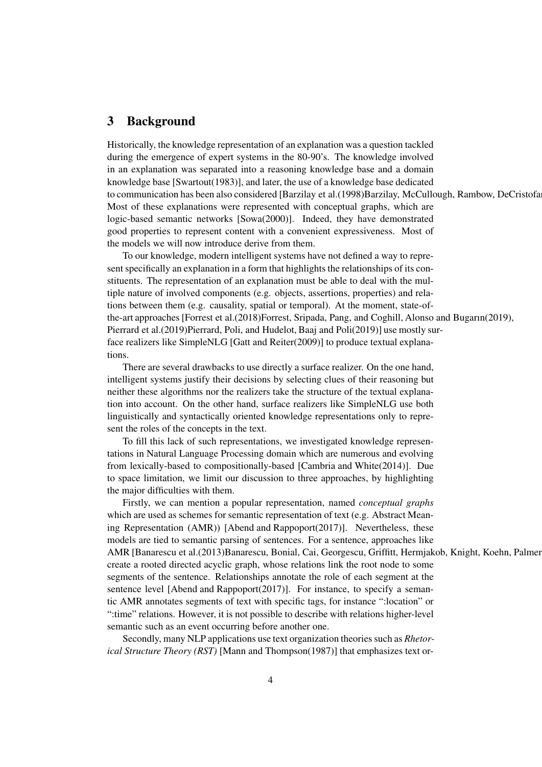#### 3 Background

Historically, the knowledge representation of an explanation was a question tackled during the emergence of expert systems in the 80-90's. The knowledge involved in an explanation was separated into a reasoning knowledge base and a domain knowledge base [Swartout(1983)], and later, the use of a knowledge base dedicated to communication has been also considered [Barzilay et al.(1998)Barzilay, McCullough, Rambow, DeCristofa Most of these explanations were represented with conceptual graphs, which are logic-based semantic networks [Sowa(2000)]. Indeed, they have demonstrated good properties to represent content with a convenient expressiveness. Most of the models we will now introduce derive from them.

To our knowledge, modern intelligent systems have not defined a way to represent specifically an explanation in a form that highlights the relationships of its constituents. The representation of an explanation must be able to deal with the multiple nature of involved components (e.g. objects, assertions, properties) and relations between them (e.g. causality, spatial or temporal). At the moment, state-ofthe-art approaches [Forrest et al.(2018)Forrest, Sripada, Pang, and Coghill, Alonso and Bugarın(2019), Pierrard et al.(2019)Pierrard, Poli, and Hudelot, Baaj and Poli(2019)] use mostly surface realizers like SimpleNLG [Gatt and Reiter(2009)] to produce textual explanations.

There are several drawbacks to use directly a surface realizer. On the one hand, intelligent systems justify their decisions by selecting clues of their reasoning but neither these algorithms nor the realizers take the structure of the textual explanation into account. On the other hand, surface realizers like SimpleNLG use both linguistically and syntactically oriented knowledge representations only to represent the roles of the concepts in the text.

To fill this lack of such representations, we investigated knowledge representations in Natural Language Processing domain which are numerous and evolving from lexically-based to compositionally-based [Cambria and White(2014)]. Due to space limitation, we limit our discussion to three approaches, by highlighting the major difficulties with them.

Firstly, we can mention a popular representation, named *conceptual graphs* which are used as schemes for semantic representation of text (e.g. Abstract Meaning Representation (AMR)) [Abend and Rappoport(2017)]. Nevertheless, these models are tied to semantic parsing of sentences. For a sentence, approaches like AMR [Banarescu et al.(2013)Banarescu, Bonial, Cai, Georgescu, Griffitt, Hermjakob, Knight, Koehn, Palmer create a rooted directed acyclic graph, whose relations link the root node to some segments of the sentence. Relationships annotate the role of each segment at the sentence level [Abend and Rappoport(2017)]. For instance, to specify a semantic AMR annotates segments of text with specific tags, for instance ":location" or ":time" relations. However, it is not possible to describe with relations higher-level semantic such as an event occurring before another one.

Secondly, many NLP applications use text organization theories such as *Rhetorical Structure Theory (RST)* [Mann and Thompson(1987)] that emphasizes text or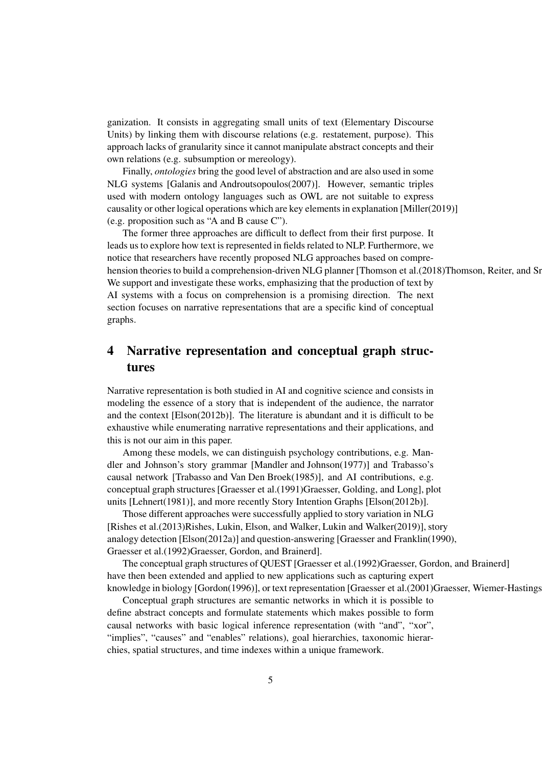ganization. It consists in aggregating small units of text (Elementary Discourse Units) by linking them with discourse relations (e.g. restatement, purpose). This approach lacks of granularity since it cannot manipulate abstract concepts and their own relations (e.g. subsumption or mereology).

Finally, *ontologies* bring the good level of abstraction and are also used in some NLG systems [Galanis and Androutsopoulos(2007)]. However, semantic triples used with modern ontology languages such as OWL are not suitable to express causality or other logical operations which are key elements in explanation [Miller(2019)] (e.g. proposition such as "A and B cause C").

The former three approaches are difficult to deflect from their first purpose. It leads us to explore how text is represented in fields related to NLP. Furthermore, we notice that researchers have recently proposed NLG approaches based on comprehension theories to build a comprehension-driven NLG planner [Thomson et al.(2018)Thomson, Reiter, and Sr We support and investigate these works, emphasizing that the production of text by AI systems with a focus on comprehension is a promising direction. The next section focuses on narrative representations that are a specific kind of conceptual graphs.

## 4 Narrative representation and conceptual graph structures

Narrative representation is both studied in AI and cognitive science and consists in modeling the essence of a story that is independent of the audience, the narrator and the context [Elson(2012b)]. The literature is abundant and it is difficult to be exhaustive while enumerating narrative representations and their applications, and this is not our aim in this paper.

Among these models, we can distinguish psychology contributions, e.g. Mandler and Johnson's story grammar [Mandler and Johnson(1977)] and Trabasso's causal network [Trabasso and Van Den Broek(1985)], and AI contributions, e.g. conceptual graph structures [Graesser et al.(1991)Graesser, Golding, and Long], plot units [Lehnert(1981)], and more recently Story Intention Graphs [Elson(2012b)].

Those different approaches were successfully applied to story variation in NLG [Rishes et al.(2013)Rishes, Lukin, Elson, and Walker, Lukin and Walker(2019)], story analogy detection [Elson(2012a)] and question-answering [Graesser and Franklin(1990), Graesser et al.(1992)Graesser, Gordon, and Brainerd].

The conceptual graph structures of QUEST [Graesser et al.(1992)Graesser, Gordon, and Brainerd] have then been extended and applied to new applications such as capturing expert knowledge in biology [Gordon(1996)], or text representation [Graesser et al.(2001)Graesser, Wiemer-Hastings

Conceptual graph structures are semantic networks in which it is possible to define abstract concepts and formulate statements which makes possible to form causal networks with basic logical inference representation (with "and", "xor", "implies", "causes" and "enables" relations), goal hierarchies, taxonomic hierarchies, spatial structures, and time indexes within a unique framework.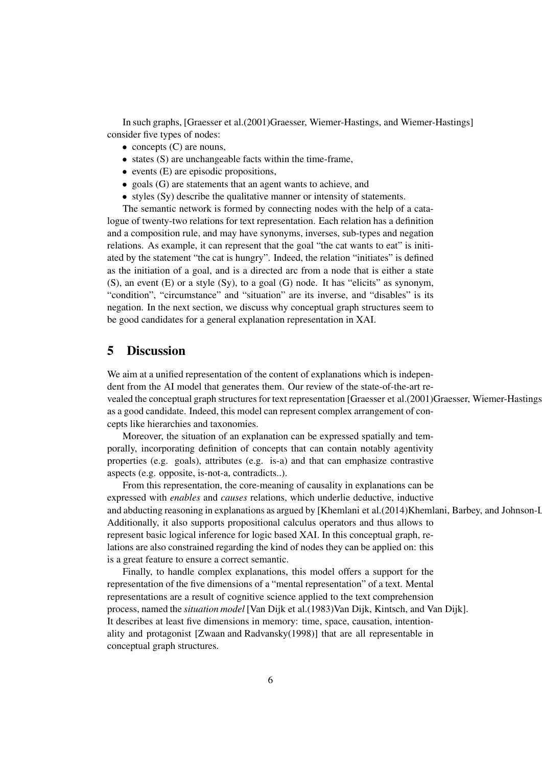In such graphs, [Graesser et al.(2001)Graesser, Wiemer-Hastings, and Wiemer-Hastings] consider five types of nodes:

- $\bullet$  concepts (C) are nouns,
- states (S) are unchangeable facts within the time-frame,
- events (E) are episodic propositions,
- goals (G) are statements that an agent wants to achieve, and
- styles (Sy) describe the qualitative manner or intensity of statements.

The semantic network is formed by connecting nodes with the help of a catalogue of twenty-two relations for text representation. Each relation has a definition and a composition rule, and may have synonyms, inverses, sub-types and negation relations. As example, it can represent that the goal "the cat wants to eat" is initiated by the statement "the cat is hungry". Indeed, the relation "initiates" is defined as the initiation of a goal, and is a directed arc from a node that is either a state (S), an event (E) or a style (Sy), to a goal (G) node. It has "elicits" as synonym, "condition", "circumstance" and "situation" are its inverse, and "disables" is its negation. In the next section, we discuss why conceptual graph structures seem to be good candidates for a general explanation representation in XAI.

#### 5 Discussion

We aim at a unified representation of the content of explanations which is independent from the AI model that generates them. Our review of the state-of-the-art revealed the conceptual graph structures for text representation [Graesser et al.(2001)Graesser, Wiemer-Hastings as a good candidate. Indeed, this model can represent complex arrangement of concepts like hierarchies and taxonomies.

Moreover, the situation of an explanation can be expressed spatially and temporally, incorporating definition of concepts that can contain notably agentivity properties (e.g. goals), attributes (e.g. is-a) and that can emphasize contrastive aspects (e.g. opposite, is-not-a, contradicts..).

From this representation, the core-meaning of causality in explanations can be expressed with *enables* and *causes* relations, which underlie deductive, inductive and abducting reasoning in explanations as argued by [Khemlani et al.(2014)Khemlani, Barbey, and Johnson-I Additionally, it also supports propositional calculus operators and thus allows to represent basic logical inference for logic based XAI. In this conceptual graph, relations are also constrained regarding the kind of nodes they can be applied on: this is a great feature to ensure a correct semantic.

Finally, to handle complex explanations, this model offers a support for the representation of the five dimensions of a "mental representation" of a text. Mental representations are a result of cognitive science applied to the text comprehension process, named the *situation model* [Van Dijk et al.(1983)Van Dijk, Kintsch, and Van Dijk]. It describes at least five dimensions in memory: time, space, causation, intentionality and protagonist [Zwaan and Radvansky(1998)] that are all representable in conceptual graph structures.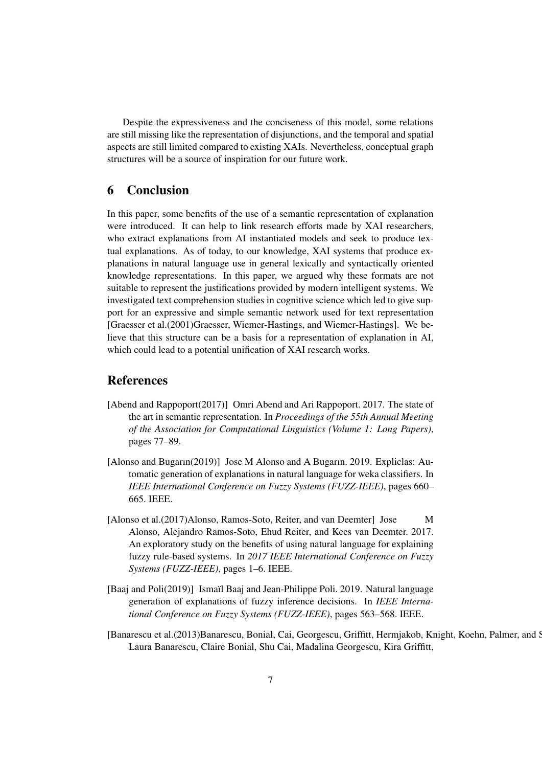Despite the expressiveness and the conciseness of this model, some relations are still missing like the representation of disjunctions, and the temporal and spatial aspects are still limited compared to existing XAIs. Nevertheless, conceptual graph structures will be a source of inspiration for our future work.

### 6 Conclusion

In this paper, some benefits of the use of a semantic representation of explanation were introduced. It can help to link research efforts made by XAI researchers, who extract explanations from AI instantiated models and seek to produce textual explanations. As of today, to our knowledge, XAI systems that produce explanations in natural language use in general lexically and syntactically oriented knowledge representations. In this paper, we argued why these formats are not suitable to represent the justifications provided by modern intelligent systems. We investigated text comprehension studies in cognitive science which led to give support for an expressive and simple semantic network used for text representation [Graesser et al.(2001)Graesser, Wiemer-Hastings, and Wiemer-Hastings]. We believe that this structure can be a basis for a representation of explanation in AI, which could lead to a potential unification of XAI research works.

#### References

- [Abend and Rappoport(2017)] Omri Abend and Ari Rappoport. 2017. The state of the art in semantic representation. In *Proceedings of the 55th Annual Meeting of the Association for Computational Linguistics (Volume 1: Long Papers)*, pages 77–89.
- [Alonso and Bugarın(2019)] Jose M Alonso and A Bugarın. 2019. Expliclas: Automatic generation of explanations in natural language for weka classifiers. In *IEEE International Conference on Fuzzy Systems (FUZZ-IEEE)*, pages 660– 665. IEEE.
- [Alonso et al.(2017)Alonso, Ramos-Soto, Reiter, and van Deemter] Jose M Alonso, Alejandro Ramos-Soto, Ehud Reiter, and Kees van Deemter. 2017. An exploratory study on the benefits of using natural language for explaining fuzzy rule-based systems. In *2017 IEEE International Conference on Fuzzy Systems (FUZZ-IEEE)*, pages 1–6. IEEE.
- [Baaj and Poli(2019)] Ismaïl Baaj and Jean-Philippe Poli. 2019. Natural language generation of explanations of fuzzy inference decisions. In *IEEE International Conference on Fuzzy Systems (FUZZ-IEEE)*, pages 563–568. IEEE.
- [Banarescu et al.(2013)Banarescu, Bonial, Cai, Georgescu, Griffitt, Hermjakob, Knight, Koehn, Palmer, and Schneider Laura Banarescu, Claire Bonial, Shu Cai, Madalina Georgescu, Kira Griffitt,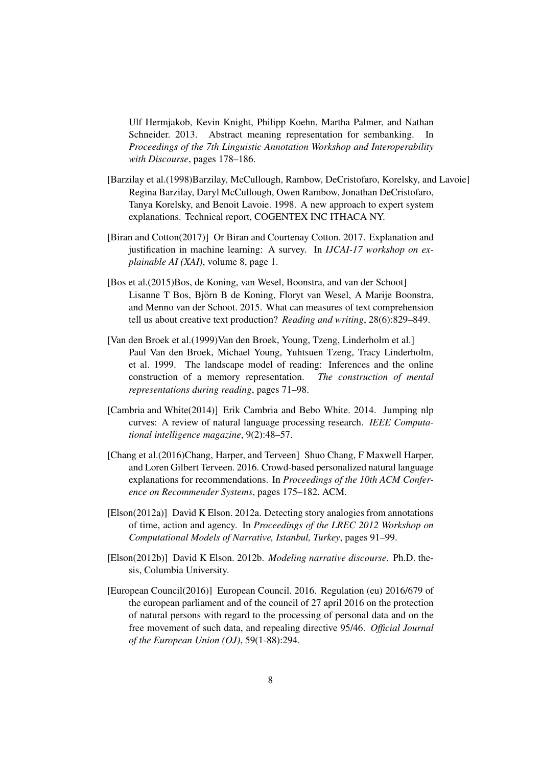Ulf Hermjakob, Kevin Knight, Philipp Koehn, Martha Palmer, and Nathan Schneider. 2013. Abstract meaning representation for sembanking. In *Proceedings of the 7th Linguistic Annotation Workshop and Interoperability with Discourse*, pages 178–186.

- [Barzilay et al.(1998)Barzilay, McCullough, Rambow, DeCristofaro, Korelsky, and Lavoie] Regina Barzilay, Daryl McCullough, Owen Rambow, Jonathan DeCristofaro, Tanya Korelsky, and Benoit Lavoie. 1998. A new approach to expert system explanations. Technical report, COGENTEX INC ITHACA NY.
- [Biran and Cotton(2017)] Or Biran and Courtenay Cotton. 2017. Explanation and justification in machine learning: A survey. In *IJCAI-17 workshop on explainable AI (XAI)*, volume 8, page 1.
- [Bos et al.(2015)Bos, de Koning, van Wesel, Boonstra, and van der Schoot] Lisanne T Bos, Björn B de Koning, Floryt van Wesel, A Marije Boonstra, and Menno van der Schoot. 2015. What can measures of text comprehension tell us about creative text production? *Reading and writing*, 28(6):829–849.
- [Van den Broek et al.(1999)Van den Broek, Young, Tzeng, Linderholm et al.] Paul Van den Broek, Michael Young, Yuhtsuen Tzeng, Tracy Linderholm, et al. 1999. The landscape model of reading: Inferences and the online construction of a memory representation. *The construction of mental representations during reading*, pages 71–98.
- [Cambria and White(2014)] Erik Cambria and Bebo White. 2014. Jumping nlp curves: A review of natural language processing research. *IEEE Computational intelligence magazine*, 9(2):48–57.
- [Chang et al.(2016)Chang, Harper, and Terveen] Shuo Chang, F Maxwell Harper, and Loren Gilbert Terveen. 2016. Crowd-based personalized natural language explanations for recommendations. In *Proceedings of the 10th ACM Conference on Recommender Systems*, pages 175–182. ACM.
- [Elson(2012a)] David K Elson. 2012a. Detecting story analogies from annotations of time, action and agency. In *Proceedings of the LREC 2012 Workshop on Computational Models of Narrative, Istanbul, Turkey*, pages 91–99.
- [Elson(2012b)] David K Elson. 2012b. *Modeling narrative discourse*. Ph.D. thesis, Columbia University.
- [European Council(2016)] European Council. 2016. Regulation (eu) 2016/679 of the european parliament and of the council of 27 april 2016 on the protection of natural persons with regard to the processing of personal data and on the free movement of such data, and repealing directive 95/46. *Official Journal of the European Union (OJ)*, 59(1-88):294.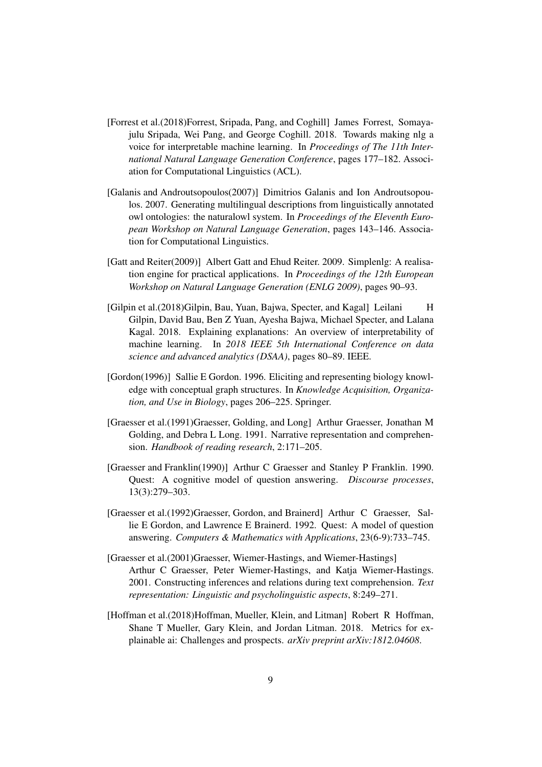- [Forrest et al.(2018)Forrest, Sripada, Pang, and Coghill] James Forrest, Somayajulu Sripada, Wei Pang, and George Coghill. 2018. Towards making nlg a voice for interpretable machine learning. In *Proceedings of The 11th International Natural Language Generation Conference*, pages 177–182. Association for Computational Linguistics (ACL).
- [Galanis and Androutsopoulos(2007)] Dimitrios Galanis and Ion Androutsopoulos. 2007. Generating multilingual descriptions from linguistically annotated owl ontologies: the naturalowl system. In *Proceedings of the Eleventh European Workshop on Natural Language Generation*, pages 143–146. Association for Computational Linguistics.
- [Gatt and Reiter(2009)] Albert Gatt and Ehud Reiter. 2009. Simplenlg: A realisation engine for practical applications. In *Proceedings of the 12th European Workshop on Natural Language Generation (ENLG 2009)*, pages 90–93.
- [Gilpin et al.(2018)Gilpin, Bau, Yuan, Bajwa, Specter, and Kagal] Leilani H Gilpin, David Bau, Ben Z Yuan, Ayesha Bajwa, Michael Specter, and Lalana Kagal. 2018. Explaining explanations: An overview of interpretability of machine learning. In *2018 IEEE 5th International Conference on data science and advanced analytics (DSAA)*, pages 80–89. IEEE.
- [Gordon(1996)] Sallie E Gordon. 1996. Eliciting and representing biology knowledge with conceptual graph structures. In *Knowledge Acquisition, Organization, and Use in Biology*, pages 206–225. Springer.
- [Graesser et al.(1991)Graesser, Golding, and Long] Arthur Graesser, Jonathan M Golding, and Debra L Long. 1991. Narrative representation and comprehension. *Handbook of reading research*, 2:171–205.
- [Graesser and Franklin(1990)] Arthur C Graesser and Stanley P Franklin. 1990. Quest: A cognitive model of question answering. *Discourse processes*, 13(3):279–303.
- [Graesser et al.(1992)Graesser, Gordon, and Brainerd] Arthur C Graesser, Sallie E Gordon, and Lawrence E Brainerd. 1992. Quest: A model of question answering. *Computers & Mathematics with Applications*, 23(6-9):733–745.
- [Graesser et al.(2001)Graesser, Wiemer-Hastings, and Wiemer-Hastings] Arthur C Graesser, Peter Wiemer-Hastings, and Katja Wiemer-Hastings. 2001. Constructing inferences and relations during text comprehension. *Text representation: Linguistic and psycholinguistic aspects*, 8:249–271.
- [Hoffman et al.(2018)Hoffman, Mueller, Klein, and Litman] Robert R Hoffman, Shane T Mueller, Gary Klein, and Jordan Litman. 2018. Metrics for explainable ai: Challenges and prospects. *arXiv preprint arXiv:1812.04608*.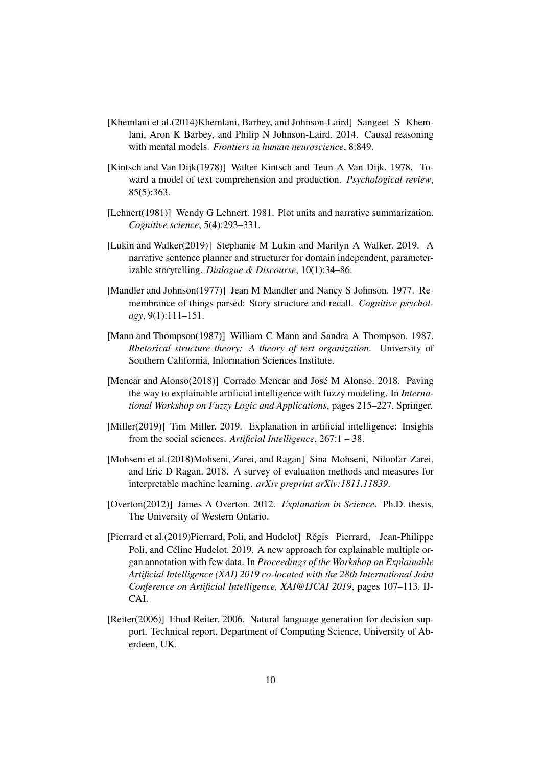- [Khemlani et al.(2014)Khemlani, Barbey, and Johnson-Laird] Sangeet S Khemlani, Aron K Barbey, and Philip N Johnson-Laird. 2014. Causal reasoning with mental models. *Frontiers in human neuroscience*, 8:849.
- [Kintsch and Van Dijk(1978)] Walter Kintsch and Teun A Van Dijk. 1978. Toward a model of text comprehension and production. *Psychological review*, 85(5):363.
- [Lehnert(1981)] Wendy G Lehnert. 1981. Plot units and narrative summarization. *Cognitive science*, 5(4):293–331.
- [Lukin and Walker(2019)] Stephanie M Lukin and Marilyn A Walker. 2019. A narrative sentence planner and structurer for domain independent, parameterizable storytelling. *Dialogue & Discourse*, 10(1):34–86.
- [Mandler and Johnson(1977)] Jean M Mandler and Nancy S Johnson. 1977. Remembrance of things parsed: Story structure and recall. *Cognitive psychology*, 9(1):111–151.
- [Mann and Thompson(1987)] William C Mann and Sandra A Thompson. 1987. *Rhetorical structure theory: A theory of text organization*. University of Southern California, Information Sciences Institute.
- [Mencar and Alonso(2018)] Corrado Mencar and José M Alonso. 2018. Paving the way to explainable artificial intelligence with fuzzy modeling. In *International Workshop on Fuzzy Logic and Applications*, pages 215–227. Springer.
- [Miller(2019)] Tim Miller. 2019. Explanation in artificial intelligence: Insights from the social sciences. *Artificial Intelligence*, 267:1 – 38.
- [Mohseni et al.(2018)Mohseni, Zarei, and Ragan] Sina Mohseni, Niloofar Zarei, and Eric D Ragan. 2018. A survey of evaluation methods and measures for interpretable machine learning. *arXiv preprint arXiv:1811.11839*.
- [Overton(2012)] James A Overton. 2012. *Explanation in Science*. Ph.D. thesis, The University of Western Ontario.
- [Pierrard et al.(2019)Pierrard, Poli, and Hudelot] Regis Pierrard, Jean-Philippe ´ Poli, and Céline Hudelot. 2019. A new approach for explainable multiple organ annotation with few data. In *Proceedings of the Workshop on Explainable Artificial Intelligence (XAI) 2019 co-located with the 28th International Joint Conference on Artificial Intelligence, XAI@IJCAI 2019*, pages 107–113. IJ-CAI.
- [Reiter(2006)] Ehud Reiter. 2006. Natural language generation for decision support. Technical report, Department of Computing Science, University of Aberdeen, UK.